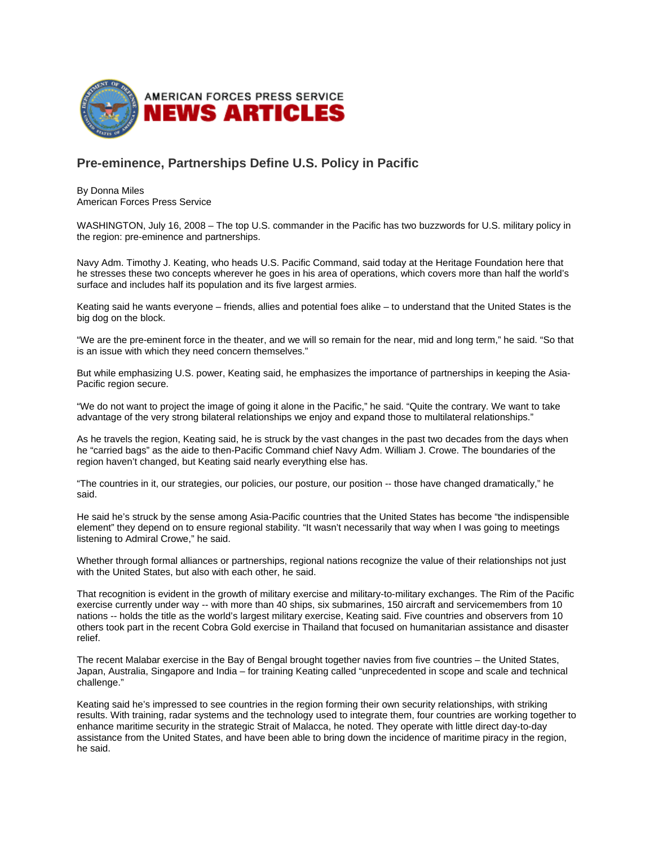

## **Pre-eminence, Partnerships Define U.S. Policy in Pacific**

By Donna Miles American Forces Press Service

WASHINGTON, July 16, 2008 – The top U.S. commander in the Pacific has two buzzwords for U.S. military policy in the region: pre-eminence and partnerships.

Navy Adm. Timothy J. Keating, who heads U.S. Pacific Command, said today at the Heritage Foundation here that he stresses these two concepts wherever he goes in his area of operations, which covers more than half the world's surface and includes half its population and its five largest armies.

Keating said he wants everyone – friends, allies and potential foes alike – to understand that the United States is the big dog on the block.

"We are the pre-eminent force in the theater, and we will so remain for the near, mid and long term," he said. "So that is an issue with which they need concern themselves."

But while emphasizing U.S. power, Keating said, he emphasizes the importance of partnerships in keeping the Asia-Pacific region secure.

"We do not want to project the image of going it alone in the Pacific," he said. "Quite the contrary. We want to take advantage of the very strong bilateral relationships we enjoy and expand those to multilateral relationships."

As he travels the region, Keating said, he is struck by the vast changes in the past two decades from the days when he "carried bags" as the aide to then-Pacific Command chief Navy Adm. William J. Crowe. The boundaries of the region haven't changed, but Keating said nearly everything else has.

"The countries in it, our strategies, our policies, our posture, our position -- those have changed dramatically," he said.

He said he's struck by the sense among Asia-Pacific countries that the United States has become "the indispensible element" they depend on to ensure regional stability. "It wasn't necessarily that way when I was going to meetings listening to Admiral Crowe," he said.

Whether through formal alliances or partnerships, regional nations recognize the value of their relationships not just with the United States, but also with each other, he said.

That recognition is evident in the growth of military exercise and military-to-military exchanges. The Rim of the Pacific exercise currently under way -- with more than 40 ships, six submarines, 150 aircraft and servicemembers from 10 nations -- holds the title as the world's largest military exercise, Keating said. Five countries and observers from 10 others took part in the recent Cobra Gold exercise in Thailand that focused on humanitarian assistance and disaster relief.

The recent Malabar exercise in the Bay of Bengal brought together navies from five countries – the United States, Japan, Australia, Singapore and India – for training Keating called "unprecedented in scope and scale and technical challenge."

Keating said he's impressed to see countries in the region forming their own security relationships, with striking results. With training, radar systems and the technology used to integrate them, four countries are working together to enhance maritime security in the strategic Strait of Malacca, he noted. They operate with little direct day-to-day assistance from the United States, and have been able to bring down the incidence of maritime piracy in the region, he said.